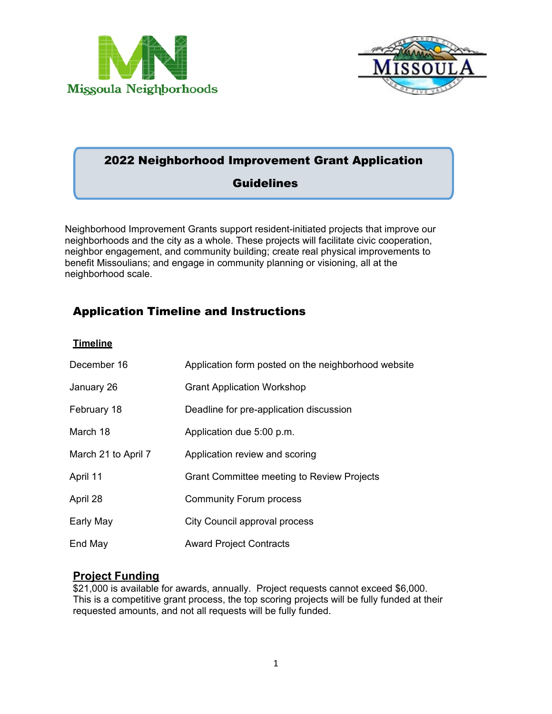



# 2022 Neighborhood Improvement Grant Application

# **Guidelines**

Neighborhood Improvement Grants support resident-initiated projects that improve our neighborhoods and the city as a whole. These projects will facilitate civic cooperation, neighbor engagement, and community building; create real physical improvements to benefit Missoulians; and engage in community planning or visioning, all at the neighborhood scale.

# Application Timeline and Instructions

#### **Timeline**

| December 16         | Application form posted on the neighborhood website |
|---------------------|-----------------------------------------------------|
| January 26          | <b>Grant Application Workshop</b>                   |
| February 18         | Deadline for pre-application discussion             |
| March 18            | Application due 5:00 p.m.                           |
| March 21 to April 7 | Application review and scoring                      |
| April 11            | <b>Grant Committee meeting to Review Projects</b>   |
| April 28            | <b>Community Forum process</b>                      |
| Early May           | City Council approval process                       |
| End May             | <b>Award Project Contracts</b>                      |

## **Project Funding**

\$21,000 is available for awards, annually. Project requests cannot exceed \$6,000. This is a competitive grant process, the top scoring projects will be fully funded at their requested amounts, and not all requests will be fully funded.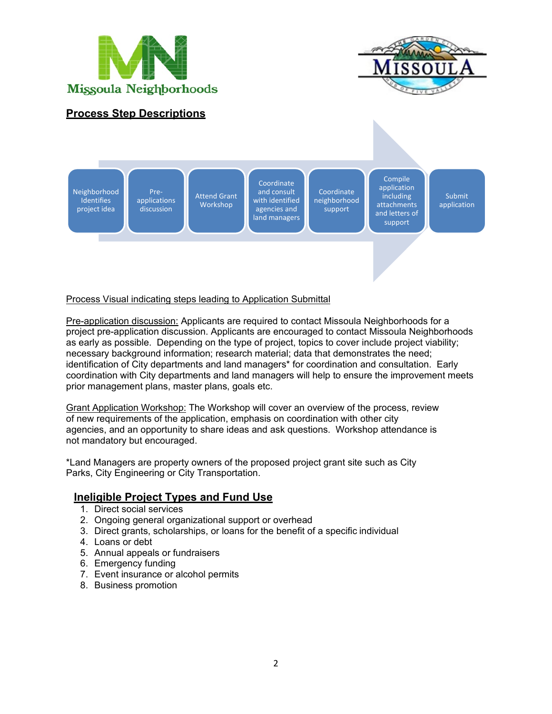



## **Process Step Descriptions**

**Neighborhood Identifies** project idea

Preapplications discussion Attend Grant Workshop

**Coordinate** and consult with identified agencies and land managers

**Coordinate** neighborhood support

application including attachments and letters of support

Compile

Submit application

#### Process Visual indicating steps leading to Application Submittal

Pre-application discussion: Applicants are required to contact Missoula Neighborhoods for a project pre-application discussion. Applicants are encouraged to contact Missoula Neighborhoods as early as possible. Depending on the type of project, topics to cover include project viability; necessary background information; research material; data that demonstrates the need; identification of City departments and land managers\* for coordination and consultation. Early coordination with City departments and land managers will help to ensure the improvement meets prior management plans, master plans, goals etc.

Grant Application Workshop: The Workshop will cover an overview of the process, review of new requirements of the application, emphasis on coordination with other city agencies, and an opportunity to share ideas and ask questions. Workshop attendance is not mandatory but encouraged.

\*Land Managers are property owners of the proposed project grant site such as City Parks, City Engineering or City Transportation.

### **Ineligible Project Types and Fund Use**

- 1. Direct social services
- 2. Ongoing general organizational support or overhead
- 3. Direct grants, scholarships, or loans for the benefit of a specific individual
- 4. Loans or debt
- 5. Annual appeals or fundraisers
- 6. Emergency funding
- 7. Event insurance or alcohol permits
- 8. Business promotion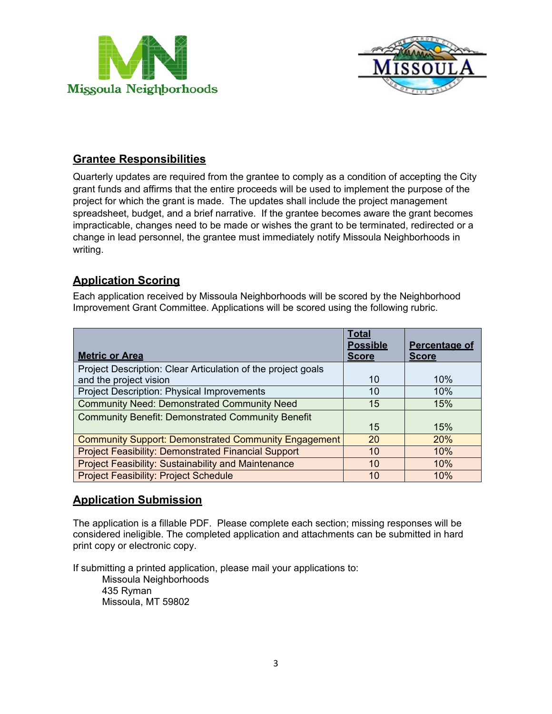



## **Grantee Responsibilities**

Quarterly updates are required from the grantee to comply as a condition of accepting the City grant funds and affirms that the entire proceeds will be used to implement the purpose of the project for which the grant is made. The updates shall include the project management spreadsheet, budget, and a brief narrative. If the grantee becomes aware the grant becomes impracticable, changes need to be made or wishes the grant to be terminated, redirected or a change in lead personnel, the grantee must immediately notify Missoula Neighborhoods in writing.

## **Application Scoring**

Each application received by Missoula Neighborhoods will be scored by the Neighborhood Improvement Grant Committee. Applications will be scored using the following rubric.

| <b>Metric or Area</b>                                        | Total<br><b>Possible</b><br><b>Score</b> | <b>Percentage of</b><br><b>Score</b> |
|--------------------------------------------------------------|------------------------------------------|--------------------------------------|
| Project Description: Clear Articulation of the project goals |                                          |                                      |
| and the project vision                                       | 10                                       | 10%                                  |
| <b>Project Description: Physical Improvements</b>            | 10                                       | 10%                                  |
| <b>Community Need: Demonstrated Community Need</b>           | 15                                       | 15%                                  |
| <b>Community Benefit: Demonstrated Community Benefit</b>     |                                          |                                      |
|                                                              | 15                                       | 15%                                  |
| <b>Community Support: Demonstrated Community Engagement</b>  | 20                                       | <b>20%</b>                           |
| <b>Project Feasibility: Demonstrated Financial Support</b>   | 10                                       | 10%                                  |
| <b>Project Feasibility: Sustainability and Maintenance</b>   | 10                                       | 10%                                  |
| <b>Project Feasibility: Project Schedule</b>                 | 10                                       | 10%                                  |

## **Application Submission**

The application is a fillable PDF. Please complete each section; missing responses will be considered ineligible. The completed application and attachments can be submitted in hard print copy or electronic copy.

If submitting a printed application, please mail your applications to:

Missoula Neighborhoods 435 Ryman Missoula, MT 59802